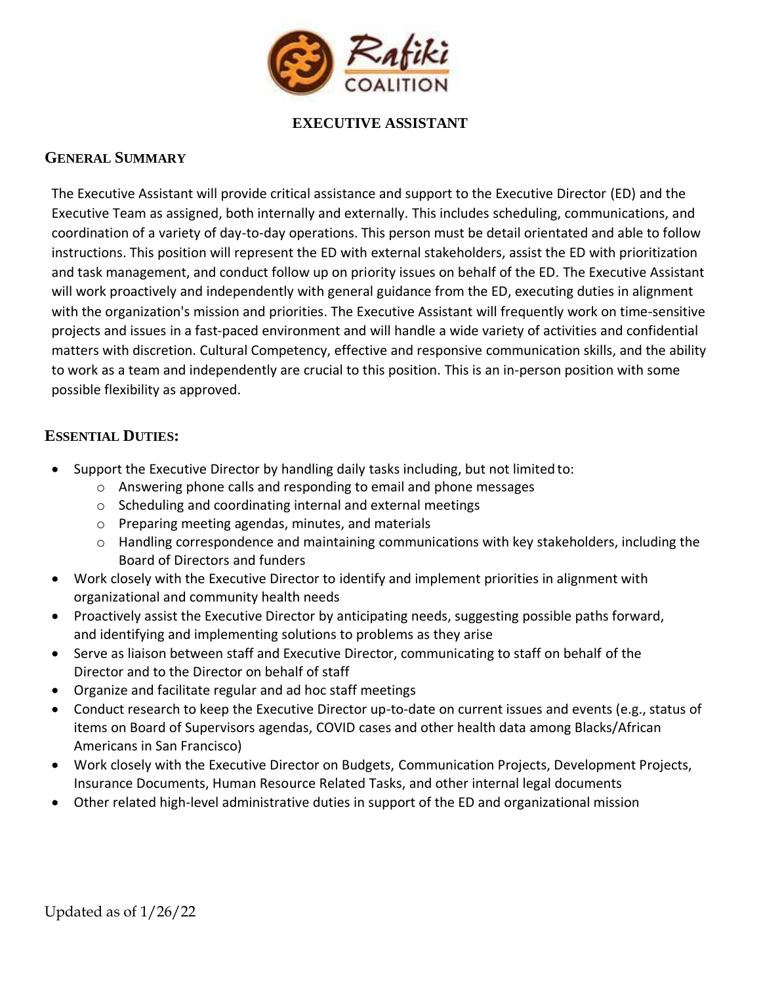

## **EXECUTIVE ASSISTANT**

### **GENERAL SUMMARY**

The Executive Assistant will provide critical assistance and support to the Executive Director (ED) and the Executive Team as assigned, both internally and externally. This includes scheduling, communications, and coordination of a variety of day-to-day operations. This person must be detail orientated and able to follow instructions. This position will represent the ED with external stakeholders, assist the ED with prioritization and task management, and conduct follow up on priority issues on behalf of the ED. The Executive Assistant will work proactively and independently with general guidance from the ED, executing duties in alignment with the organization's mission and priorities. The Executive Assistant will frequently work on time-sensitive projects and issues in a fast-paced environment and will handle a wide variety of activities and confidential matters with discretion. Cultural Competency, effective and responsive communication skills, and the ability to work as a team and independently are crucial to this position. This is an in-person position with some possible flexibility as approved.

### **ESSENTIAL DUTIES:**

- Support the Executive Director by handling daily tasks including, but not limited to:
	- o Answering phone calls and responding to email and phone messages
	- o Scheduling and coordinating internal and external meetings
	- o Preparing meeting agendas, minutes, and materials
	- o Handling correspondence and maintaining communications with key stakeholders, including the Board of Directors and funders
- Work closely with the Executive Director to identify and implement priorities in alignment with organizational and community health needs
- Proactively assist the Executive Director by anticipating needs, suggesting possible paths forward, and identifying and implementing solutions to problems as they arise
- Serve as liaison between staff and Executive Director, communicating to staff on behalf of the Director and to the Director on behalf of staff
- Organize and facilitate regular and ad hoc staff meetings
- Conduct research to keep the Executive Director up-to-date on current issues and events (e.g., status of items on Board of Supervisors agendas, COVID cases and other health data among Blacks/African Americans in San Francisco)
- Work closely with the Executive Director on Budgets, Communication Projects, Development Projects, Insurance Documents, Human Resource Related Tasks, and other internal legal documents
- Other related high-level administrative duties in support of the ED and organizational mission